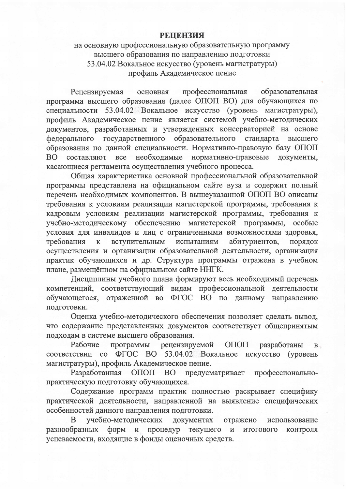## **РЕЦЕНЗИЯ**

на основную профессиональную образовательную программу высшего образования по направлению подготовки 53.04.02 Вокальное искусство (уровень магистратуры) профиль Академическое пение

Рецензируемая основная профессиональная образовательная программа высшего образования (далее ОПОП ВО) для обучающихся по специальности 53.04.02 Вокальное искусство (уровень магистратуры), профиль Академическое пение является системой учебно-методических документов, разработанных и утвержденных консерваторией на основе федерального государственного образовательного стандарта высшего образования по данной специальности. Нормативно-правовую базу ОПОП все необходимые нормативно-правовые документы, составляют **BO** касающиеся регламента осуществления учебного процесса.

Общая характеристика основной профессиональной образовательной программы представлена на официальном сайте вуза и содержит полный перечень необходимых компонентов. В вышеуказанной ОПОП ВО описаны требования к условиям реализации магистерской программы, требования к кадровым условиям реализации магистерской программы, требования к учебно-методическому обеспечению магистерской программы, особые условия для инвалидов и лиц с ограниченными возможностями здоровья, вступительным испытаниям абитуриентов, требования порядок  $\mathbf{K}$ осуществления и организации образовательной деятельности, организация практик обучающихся и др. Структура программы отражена в учебном плане, размещённом на официальном сайте ННГК.

Дисциплины учебного плана формируют весь необходимый перечень компетенций, соответствующий видам профессиональной деятельности обучающегося, отраженной во ФГОС ВО по данному направлению подготовки.

Оценка учебно-методического обеспечения позволяет сделать вывод, что содержание представленных документов соответствует общепринятым подходам в системе высшего образования.

программы рецензируемой ОПОП Рабочие разработаны  $B$ соответствии со ФГОС ВО 53.04.02 Вокальное искусство (уровень магистратуры), профиль Академическое пение.

Разработанная ОПОП ВО предусматривает профессиональнопрактическую подготовку обучающихся.

Содержание программ практик полностью раскрывает специфику практической деятельности, направленной на выявление специфических особенностей данного направления подготовки.

учебно-методических документах B отражено использование форм и процедур текущего разнообразных  $\mathbf{H}$ итогового контроля успеваемости, входящие в фонды оценочных средств.